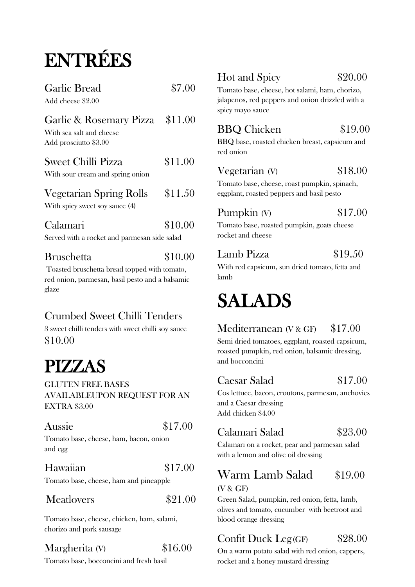# ENTRÉES

| <b>Garlic Bread</b><br>Add cheese \$2.00                                             | \$7.00  |
|--------------------------------------------------------------------------------------|---------|
| Garlic & Rosemary Pizza \$11.00<br>With sea salt and cheese<br>Add prosciutto \$3.00 |         |
| <b>Sweet Chilli Pizza</b><br>With sour cream and spring onion                        | \$11.00 |
| <b>Vegetarian Spring Rolls</b><br>With spicy sweet soy sauce (4)                     | \$11.50 |
| Calamari<br>Served with a rocket and parmesan side salad                             | \$10.00 |
| <b>Bruschetta</b>                                                                    | \$10.00 |

Toasted bruschetta bread topped with tomato, red onion, parmesan, basil pesto and a balsamic glaze

# Crumbed Sweet Chilli Tenders

3 sweet chilli tenders with sweet chilli soy sauce \$10.00

# PIZZAS GLUTEN FREE BASES

AVAILABLEUPON REQUEST FOR AN EXTRA \$3.00

| Aussie                             |  | \$17.00 |  |
|------------------------------------|--|---------|--|
| Tamata haga shaqaa ham haqan aniga |  |         |  |

Tomato base, cheese, ham, bacon, onion and egg

# Hawaiian \$17.00

Tomato base, cheese, ham and pineapple

#### Meatlovers \$21.00

Tomato base, cheese, chicken, ham, salami, chorizo and pork sausage

# Margherita (V) \$16.00

Tomato base, bocconcini and fresh basil

# Hot and Spicy \$20.00

Tomato base, cheese, hot salami, ham, chorizo, jalapenos, red peppers and onion drizzled with a spicy mayo sauce

# BBQ Chicken \$19.00

BBQ base, roasted chicken breast, capsicum and red onion

#### Vegetarian (V)  $$18.00$

Tomato base, cheese, roast pumpkin, spinach, eggplant, roasted peppers and basil pesto

# **Pumpkin** (V) \$17.00

Tomato base, roasted pumpkin, goats cheese rocket and cheese

#### Lamb Pizza \$19.50

With red capsicum, sun dried tomato, fetta and lamb

# SALADS

### Mediterranean (V & GF) \$17.00

Semi dried tomatoes, eggplant, roasted capsicum, roasted pumpkin, red onion, balsamic dressing, and bocconcini

#### Caesar Salad \$17.00

Cos lettuce, bacon, croutons, parmesan, anchovies and a Caesar dressing Add chicken \$4.00

### Calamari Salad \$23.00

Calamari on a rocket, pear and parmesan salad with a lemon and olive oil dressing

#### Warm Lamb Salad \$19.00 (V & GF)

Green Salad, pumpkin, red onion, fetta, lamb, olives and tomato, cucumber with beetroot and blood orange dressing

# Confit Duck Leg(GF) \$28.00

On a warm potato salad with red onion, cappers, rocket and a honey mustard dressing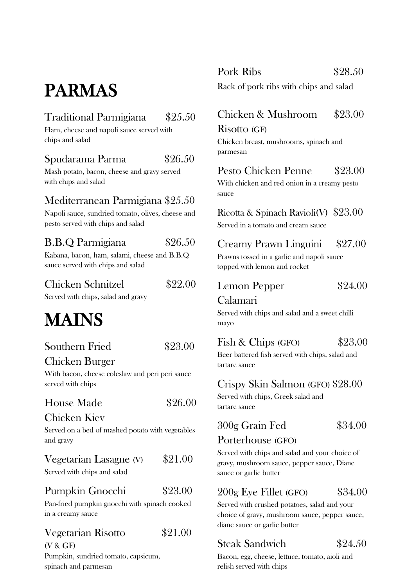# PARMAS

## Traditional Parmigiana \$25.50

Ham, cheese and napoli sauce served with chips and salad

### Spudarama Parma \$26.50

Mash potato, bacon, cheese and gravy served with chips and salad

#### Mediterranean Parmigiana \$25.50

Napoli sauce, sundried tomato, olives, cheese and pesto served with chips and salad

#### B.B.Q Parmigiana \$26.50

Kabana, bacon, ham, salami, cheese and B.B.Q sauce served with chips and salad

### Chicken Schnitzel \$22.00

Served with chips, salad and gravy

# MAINS

# Southern Fried \$23.00

#### Chicken Burger

With bacon, cheese coleslaw and peri peri sauce served with chips

#### House Made \$26,00

#### Chicken Kiev

Served on a bed of mashed potato with vegetables and gravy

#### Vegetarian Lasagne  $(V)$  \$21.00

Served with chips and salad

#### Pumpkin Gnocchi \$23.00

Pan-fried pumpkin gnocchi with spinach cooked in a creamy sauce

# Vegetarian Risotto \$21.00

(V & GF) Pumpkin, sundried tomato, capsicum, spinach and parmesan

Pork Ribs \$28.50

Rack of pork ribs with chips and salad

# Chicken & Mushroom \$23.00

#### Risotto (GF)

Chicken breast, mushrooms, spinach and parmesan

# Pesto Chicken Penne \$23.00

With chicken and red onion in a creamy pesto sauce

Ricotta & Spinach Ravioli(V) \$23.00 Served in a tomato and cream sauce

### Creamy Prawn Linguini \$27.00

Prawns tossed in a garlic and napoli sauce topped with lemon and rocket

#### Lemon Pepper  $$24.00$

#### Calamari

Served with chips and salad and a sweet chilli mayo

#### Fish & Chips  $(FO)$  \$23.00

Beer battered fish served with chips, salad and tartare sauce

#### Crispy Skin Salmon (GFO) \$28.00

Served with chips, Greek salad and tartare sauce

### 300g Grain Fed \$34.00

#### Porterhouse (GFO)

Served with chips and salad and your choice of gravy, mushroom sauce, pepper sauce, Diane sauce or garlic butter

#### 200g Eye Fillet (GFO) \$34.00

Served with crushed potatoes, salad and your choice of gravy, mushroom sauce, pepper sauce, diane sauce or garlic butter

# Steak Sandwich \$24.50

Bacon, egg, cheese, lettuce, tomato, aioli and relish served with chips